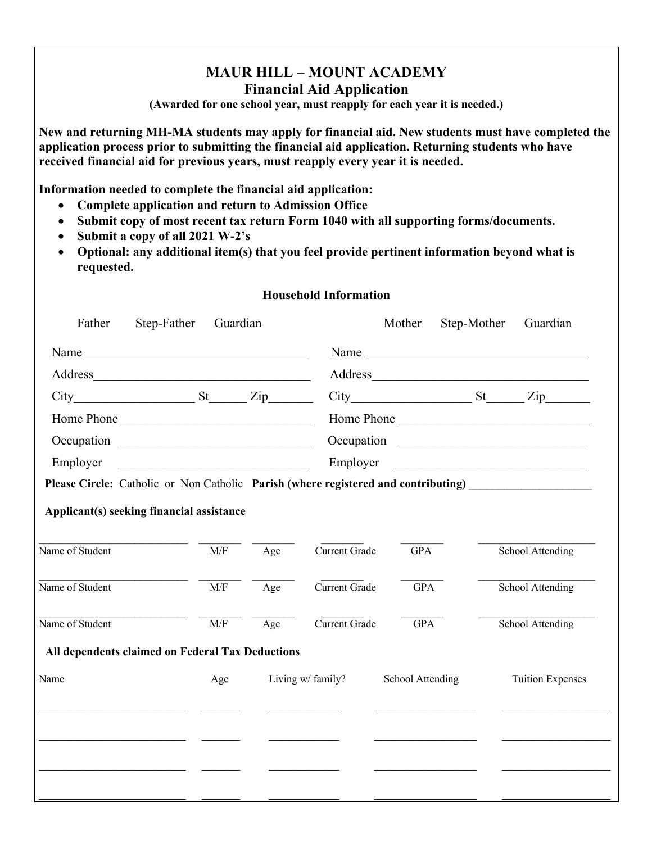## **MAUR HILL – MOUNT ACADEMY Financial Aid Application**

**(Awarded for one school year, must reapply for each year it is needed.)**

**New and returning MH-MA students may apply for financial aid. New students must have completed the application process prior to submitting the financial aid application. Returning students who have received financial aid for previous years, must reapply every year it is needed.** 

**Information needed to complete the financial aid application:** 

- **Complete application and return to Admission Office**
- **Submit copy of most recent tax return Form 1040 with all supporting forms/documents.**
- **Submit a copy of all 2021 W-2's**
- **Optional: any additional item(s) that you feel provide pertinent information beyond what is requested.**

## **Household Information**

|                                                                                    |     |     |                      |                  | Name                                                            |
|------------------------------------------------------------------------------------|-----|-----|----------------------|------------------|-----------------------------------------------------------------|
| Address                                                                            |     |     |                      |                  | Address                                                         |
| City St Zip                                                                        |     |     |                      |                  | $City$ $St$ $Zip$ $Zip$                                         |
| Home Phone                                                                         |     |     |                      |                  | Home Phone                                                      |
|                                                                                    |     |     |                      |                  |                                                                 |
| Employer                                                                           |     |     | Employer             |                  | <u> 1980 - Jan Barbara, margaret eta biztanleria (h. 1980).</u> |
| Please Circle: Catholic or Non Catholic Parish (where registered and contributing) |     |     |                      |                  |                                                                 |
| Applicant(s) seeking financial assistance                                          |     |     |                      |                  |                                                                 |
| Name of Student                                                                    | M/F | Age | Current Grade        | <b>GPA</b>       | School Attending                                                |
| Name of Student                                                                    | M/F | Age | <b>Current Grade</b> | <b>GPA</b>       | School Attending                                                |
| Name of Student                                                                    | M/F | Age | <b>Current Grade</b> | <b>GPA</b>       | School Attending                                                |
| All dependents claimed on Federal Tax Deductions                                   |     |     |                      |                  |                                                                 |
| Name                                                                               | Age |     | Living w/ family?    | School Attending | <b>Tuition Expenses</b>                                         |
|                                                                                    |     |     |                      |                  |                                                                 |
|                                                                                    |     |     |                      |                  |                                                                 |
|                                                                                    |     |     |                      |                  |                                                                 |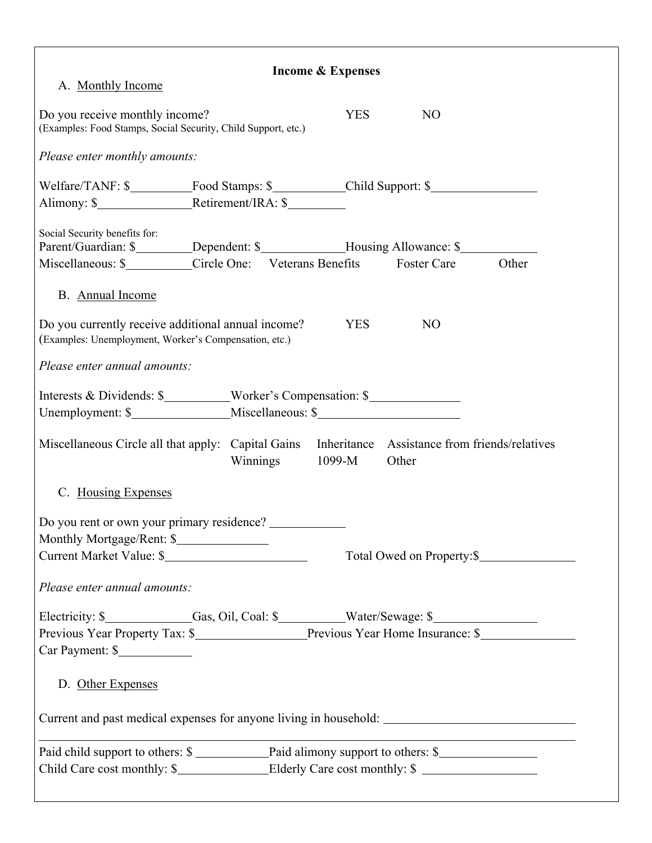| <b>Income &amp; Expenses</b><br>A. Monthly Income                                                                                                                                             |                                                                                                        |            |                |                            |  |  |  |  |  |
|-----------------------------------------------------------------------------------------------------------------------------------------------------------------------------------------------|--------------------------------------------------------------------------------------------------------|------------|----------------|----------------------------|--|--|--|--|--|
| Do you receive monthly income?<br>(Examples: Food Stamps, Social Security, Child Support, etc.)                                                                                               |                                                                                                        | <b>YES</b> | N <sub>O</sub> |                            |  |  |  |  |  |
| Please enter monthly amounts:                                                                                                                                                                 |                                                                                                        |            |                |                            |  |  |  |  |  |
|                                                                                                                                                                                               | Welfare/TANF: \$______________Food Stamps: \$_____________Child Support: \$___________________________ |            |                |                            |  |  |  |  |  |
| Social Security benefits for:<br>Parent/Guardian: \$________Dependent: \$____________Housing Allowance: \$__________<br>Miscellaneous: \$___________Circle One: Veterans Benefits Foster Care |                                                                                                        |            |                | Other                      |  |  |  |  |  |
| B. Annual Income                                                                                                                                                                              |                                                                                                        |            |                |                            |  |  |  |  |  |
| Do you currently receive additional annual income?<br>(Examples: Unemployment, Worker's Compensation, etc.)                                                                                   |                                                                                                        | <b>YES</b> | N <sub>O</sub> |                            |  |  |  |  |  |
| Please enter annual amounts:                                                                                                                                                                  |                                                                                                        |            |                |                            |  |  |  |  |  |
| Interests & Dividends: \$__________Worker's Compensation: \$______________________                                                                                                            |                                                                                                        |            |                |                            |  |  |  |  |  |
| Miscellaneous Circle all that apply: Capital Gains Inheritance Assistance from friends/relatives                                                                                              | Winnings 1099-M                                                                                        |            | Other          |                            |  |  |  |  |  |
| C. Housing Expenses                                                                                                                                                                           |                                                                                                        |            |                |                            |  |  |  |  |  |
| Do you rent or own your primary residence?<br>Monthly Mortgage/Rent: \$<br>Current Market Value: \$                                                                                           |                                                                                                        |            |                | Total Owed on Property: \$ |  |  |  |  |  |
| Please enter annual amounts:                                                                                                                                                                  |                                                                                                        |            |                |                            |  |  |  |  |  |
| Electricity: \$_____________Gas, Oil, Coal: \$_________Water/Sewage: \$_____________<br>Car Payment: \$                                                                                       |                                                                                                        |            |                |                            |  |  |  |  |  |
| D. Other Expenses                                                                                                                                                                             |                                                                                                        |            |                |                            |  |  |  |  |  |
| Current and past medical expenses for anyone living in household: __________________________________                                                                                          |                                                                                                        |            |                |                            |  |  |  |  |  |
| Child Care cost monthly: \$_______________________Elderly Care cost monthly: \$ ______________________                                                                                        |                                                                                                        |            |                |                            |  |  |  |  |  |